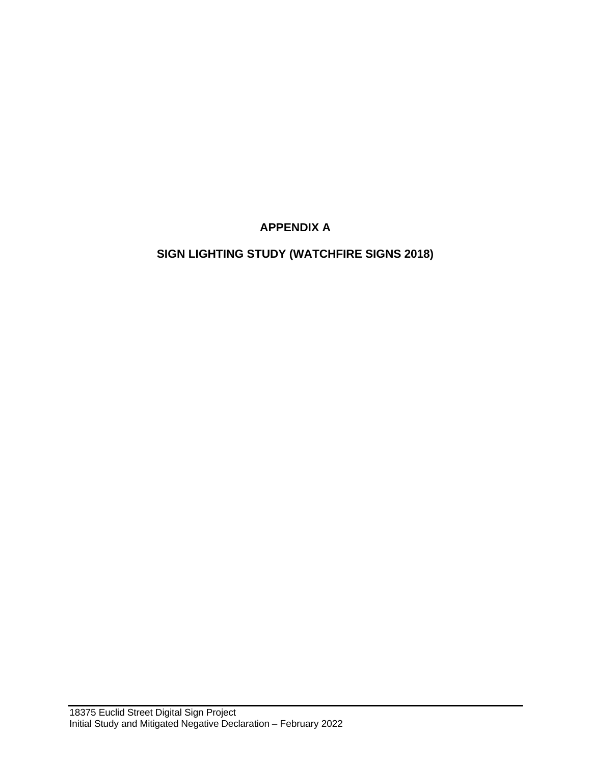## **APPENDIX A**

# **SIGN LIGHTING STUDY (WATCHFIRE SIGNS 2018)**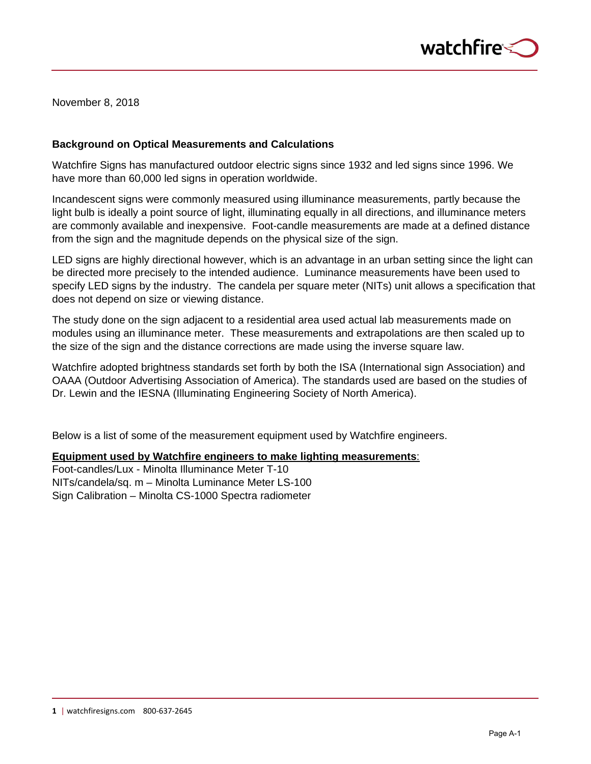

November 8, 2018

### **Background on Optical Measurements and Calculations**

Watchfire Signs has manufactured outdoor electric signs since 1932 and led signs since 1996. We have more than 60,000 led signs in operation worldwide.

Incandescent signs were commonly measured using illuminance measurements, partly because the light bulb is ideally a point source of light, illuminating equally in all directions, and illuminance meters are commonly available and inexpensive. Foot-candle measurements are made at a defined distance from the sign and the magnitude depends on the physical size of the sign.

LED signs are highly directional however, which is an advantage in an urban setting since the light can be directed more precisely to the intended audience. Luminance measurements have been used to specify LED signs by the industry. The candela per square meter (NITs) unit allows a specification that does not depend on size or viewing distance.

The study done on the sign adjacent to a residential area used actual lab measurements made on modules using an illuminance meter. These measurements and extrapolations are then scaled up to the size of the sign and the distance corrections are made using the inverse square law.

Watchfire adopted brightness standards set forth by both the ISA (International sign Association) and OAAA (Outdoor Advertising Association of America). The standards used are based on the studies of Dr. Lewin and the IESNA (Illuminating Engineering Society of North America).

Below is a list of some of the measurement equipment used by Watchfire engineers.

#### **Equipment used by Watchfire engineers to make lighting measurements**:

Foot-candles/Lux - Minolta Illuminance Meter T-10 NITs/candela/sq. m – Minolta Luminance Meter LS-100 Sign Calibration – Minolta CS-1000 Spectra radiometer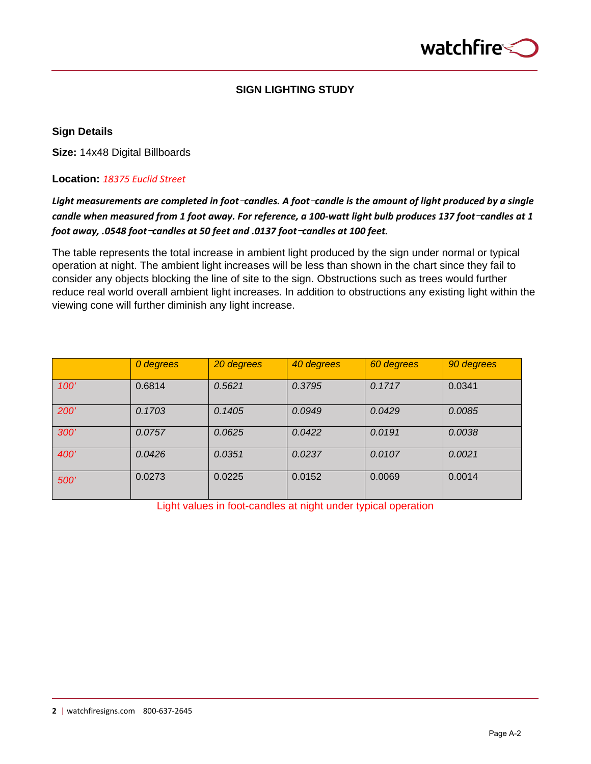

### **SIGN LIGHTING STUDY**

### **Sign Details**

**Size:** 14x48 Digital Billboards

### **Location:** *18375 Euclid Street*

## *Light measurements are completed in foot*-*candles. A foot*-*candle is the amount of light produced by a single candle when measured from 1 foot away. For reference, a 100-watt light bulb produces 137 foot-candles at 1 foot away, .0548 foot*-*candles at 50 feet and .0137 foot*-*candles at 100 feet.*

The table represents the total increase in ambient light produced by the sign under normal or typical operation at night. The ambient light increases will be less than shown in the chart since they fail to consider any objects blocking the line of site to the sign. Obstructions such as trees would further reduce real world overall ambient light increases. In addition to obstructions any existing light within the viewing cone will further diminish any light increase.

|             | 0 degrees | 20 degrees | 40 degrees | 60 degrees | 90 degrees |
|-------------|-----------|------------|------------|------------|------------|
| 100'        | 0.6814    | 0.5621     | 0.3795     | 0.1717     | 0.0341     |
| <b>200'</b> | 0.1703    | 0.1405     | 0.0949     | 0.0429     | 0.0085     |
| <b>300'</b> | 0.0757    | 0.0625     | 0.0422     | 0.0191     | 0.0038     |
| 400'        | 0.0426    | 0.0351     | 0.0237     | 0.0107     | 0.0021     |
| <b>500'</b> | 0.0273    | 0.0225     | 0.0152     | 0.0069     | 0.0014     |

Light values in foot-candles at night under typical operation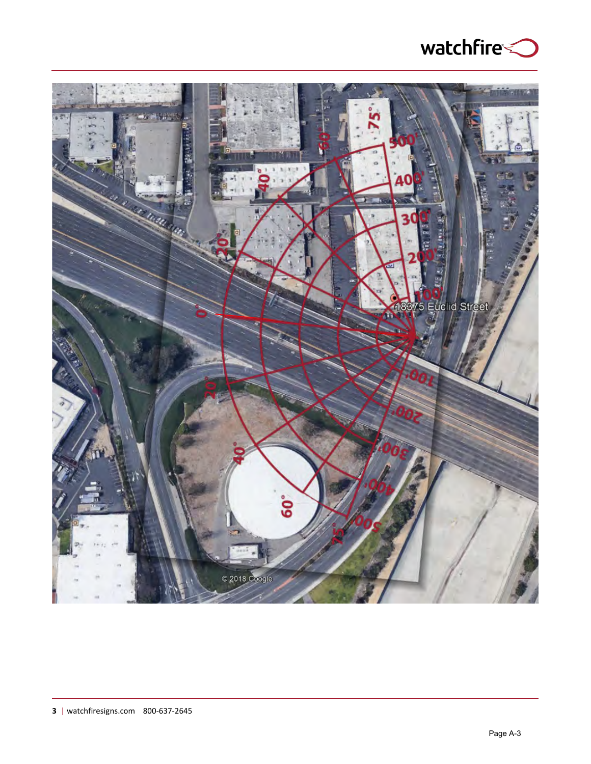